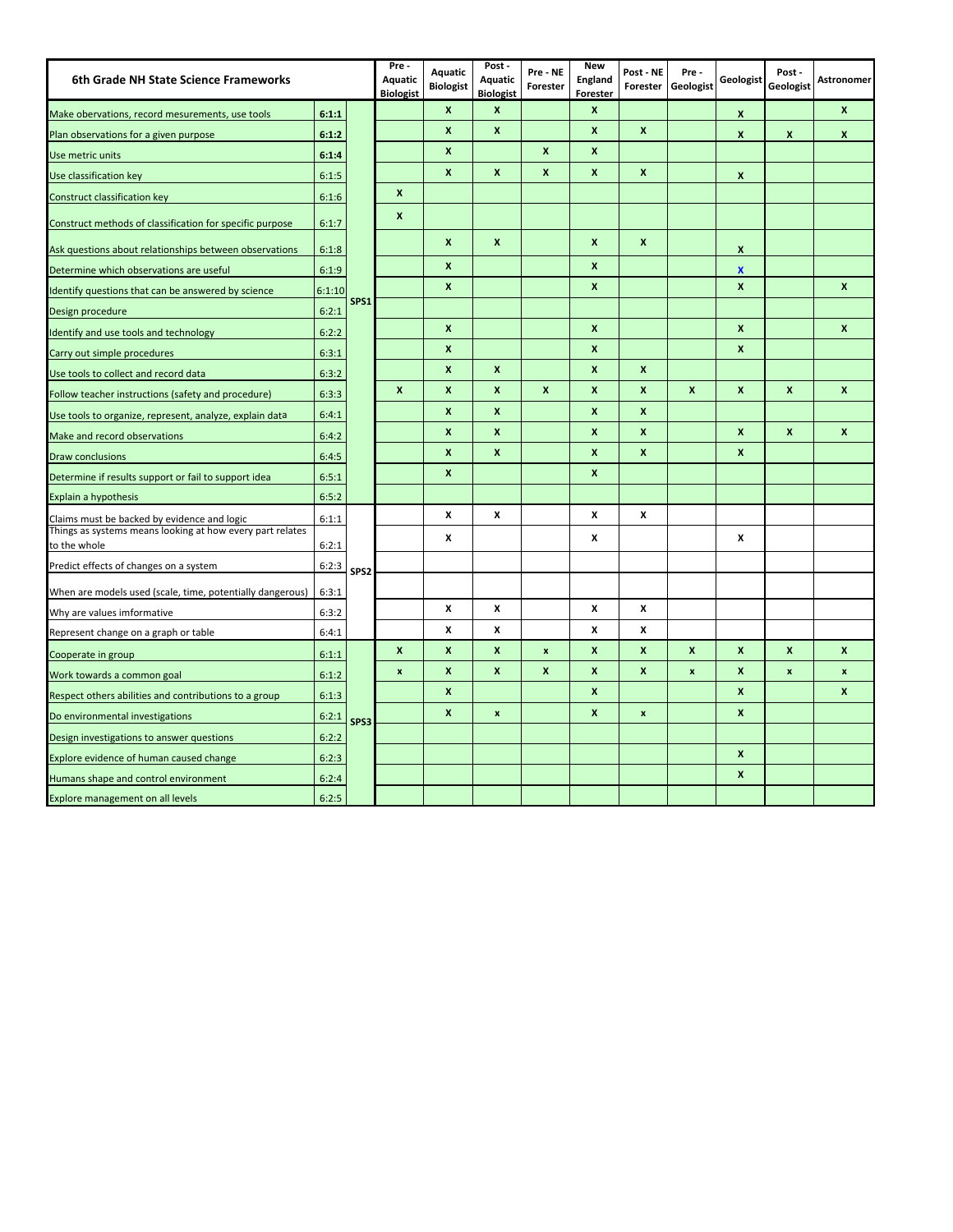| 6th Grade NH State Science Frameworks                                     |        |                  | Pre-<br><b>Aquatic</b><br><b>Biologist</b> | Aquatic<br><b>Biologist</b> | Post -<br>Aquatic<br><b>Biologist</b> | Pre - NE<br>Forester | <b>New</b><br>England<br>Forester | Post - NE<br>Forester | Pre-<br>Geologist  | Geologist        | Post -<br>Geologist | <b>Astronomer</b>  |
|---------------------------------------------------------------------------|--------|------------------|--------------------------------------------|-----------------------------|---------------------------------------|----------------------|-----------------------------------|-----------------------|--------------------|------------------|---------------------|--------------------|
| Make obervations, record mesurements, use tools                           | 6:1:1  |                  |                                            | $\mathbf{x}$                | $\boldsymbol{x}$                      |                      | X                                 |                       |                    | X                |                     | X                  |
| Plan observations for a given purpose                                     | 6:1:2  |                  |                                            | $\boldsymbol{x}$            | X                                     |                      | X                                 | $\boldsymbol{x}$      |                    | X                | X                   | $\mathbf{x}$       |
| Use metric units                                                          | 6:1:4  |                  |                                            | $\boldsymbol{x}$            |                                       | $\pmb{\mathsf{x}}$   | $\pmb{\times}$                    |                       |                    |                  |                     |                    |
| Use classification key                                                    | 6:1:5  |                  |                                            | $\boldsymbol{x}$            | X                                     | $\pmb{\mathsf{x}}$   | X                                 | X                     |                    | X                |                     |                    |
| Construct classification key                                              | 6:1:6  |                  | X                                          |                             |                                       |                      |                                   |                       |                    |                  |                     |                    |
| Construct methods of classification for specific purpose                  | 6:1:7  |                  | X                                          |                             |                                       |                      |                                   |                       |                    |                  |                     |                    |
| Ask questions about relationships between observations                    | 6:1:8  |                  |                                            | $\mathbf{x}$                | $\boldsymbol{x}$                      |                      | $\pmb{\times}$                    | $\mathbf{x}$          |                    | X                |                     |                    |
| Determine which observations are useful                                   | 6:1:9  |                  |                                            | $\boldsymbol{x}$            |                                       |                      | $\pmb{\times}$                    |                       |                    | $\boldsymbol{x}$ |                     |                    |
| Identify questions that can be answered by science                        | 6:1:10 |                  |                                            | $\boldsymbol{x}$            |                                       |                      | $\pmb{\times}$                    |                       |                    | $\boldsymbol{x}$ |                     | $\pmb{\mathsf{x}}$ |
| Design procedure                                                          | 6:2:1  | SPS1             |                                            |                             |                                       |                      |                                   |                       |                    |                  |                     |                    |
| Identify and use tools and technology                                     | 6:2:2  |                  |                                            | $\boldsymbol{x}$            |                                       |                      | X                                 |                       |                    | X                |                     | X                  |
| Carry out simple procedures                                               | 6:3:1  |                  |                                            | $\boldsymbol{x}$            |                                       |                      | $\pmb{\times}$                    |                       |                    | $\mathbf{x}$     |                     |                    |
| Use tools to collect and record data                                      | 6:3:2  |                  |                                            | $\boldsymbol{x}$            | X                                     |                      | X                                 | X                     |                    |                  |                     |                    |
| Follow teacher instructions (safety and procedure)                        | 6:3:3  |                  | $\mathbf{x}$                               | $\mathbf{x}$                | $\boldsymbol{x}$                      | X                    | X                                 | X                     | $\mathbf{x}$       | $\mathbf{x}$     | $\pmb{\mathsf{x}}$  | $\mathbf{x}$       |
| Use tools to organize, represent, analyze, explain data                   | 6:4:1  |                  |                                            | $\mathbf{x}$                | $\boldsymbol{x}$                      |                      | $\mathbf{x}$                      | X                     |                    |                  |                     |                    |
| Make and record observations                                              | 6:4:2  |                  |                                            | $\boldsymbol{x}$            | X                                     |                      | $\pmb{\times}$                    | X                     |                    | X                | $\mathbf{x}$        | $\pmb{\times}$     |
| <b>Draw conclusions</b>                                                   | 6:4:5  |                  |                                            | $\boldsymbol{x}$            | X                                     |                      | X                                 | X                     |                    | X                |                     |                    |
| Determine if results support or fail to support idea                      | 6:5:1  |                  |                                            | $\boldsymbol{x}$            |                                       |                      | $\pmb{\times}$                    |                       |                    |                  |                     |                    |
| Explain a hypothesis                                                      | 6:5:2  |                  |                                            |                             |                                       |                      |                                   |                       |                    |                  |                     |                    |
| Claims must be backed by evidence and logic                               | 6:1:1  |                  |                                            | X                           | X                                     |                      | x                                 | X                     |                    |                  |                     |                    |
| Things as systems means looking at how every part relates<br>to the whole | 6:2:1  |                  |                                            | X                           |                                       |                      | x                                 |                       |                    | X                |                     |                    |
| Predict effects of changes on a system                                    | 6:2:3  | SPS <sub>2</sub> |                                            |                             |                                       |                      |                                   |                       |                    |                  |                     |                    |
| When are models used (scale, time, potentially dangerous)                 | 6:3:1  |                  |                                            |                             |                                       |                      |                                   |                       |                    |                  |                     |                    |
| Why are values imformative                                                | 6:3:2  |                  |                                            | X                           | x                                     |                      | x                                 | x                     |                    |                  |                     |                    |
| Represent change on a graph or table                                      | 6:4:1  |                  |                                            | X                           | x                                     |                      | x                                 | x                     |                    |                  |                     |                    |
| Cooperate in group                                                        | 6:1:1  |                  | x                                          | $\pmb{\mathsf{x}}$          | X                                     | $\pmb{\mathsf{x}}$   | x                                 | X                     | $\boldsymbol{x}$   | X                | X                   | X                  |
| Work towards a common goal                                                | 6:1:2  |                  | $\pmb{\times}$                             | $\boldsymbol{x}$            | $\boldsymbol{x}$                      | X                    | X                                 | X                     | $\pmb{\mathsf{x}}$ | X                | $\pmb{\mathsf{x}}$  | $\pmb{\mathsf{x}}$ |
| Respect others abilities and contributions to a group                     | 6:1:3  |                  |                                            | $\boldsymbol{x}$            |                                       |                      | X                                 |                       |                    | X                |                     | X                  |
| Do environmental investigations                                           | 6:2:1  | SPS3             |                                            | $\boldsymbol{x}$            | $\pmb{\times}$                        |                      | X                                 | $\pmb{\mathsf{x}}$    |                    | $\mathbf{x}$     |                     |                    |
| Design investigations to answer questions                                 | 6:2:2  |                  |                                            |                             |                                       |                      |                                   |                       |                    |                  |                     |                    |
| Explore evidence of human caused change                                   | 6:2:3  |                  |                                            |                             |                                       |                      |                                   |                       |                    | X                |                     |                    |
| Humans shape and control environment                                      | 6:2:4  |                  |                                            |                             |                                       |                      |                                   |                       |                    | X                |                     |                    |
| <b>Explore management on all levels</b>                                   | 6:2:5  |                  |                                            |                             |                                       |                      |                                   |                       |                    |                  |                     |                    |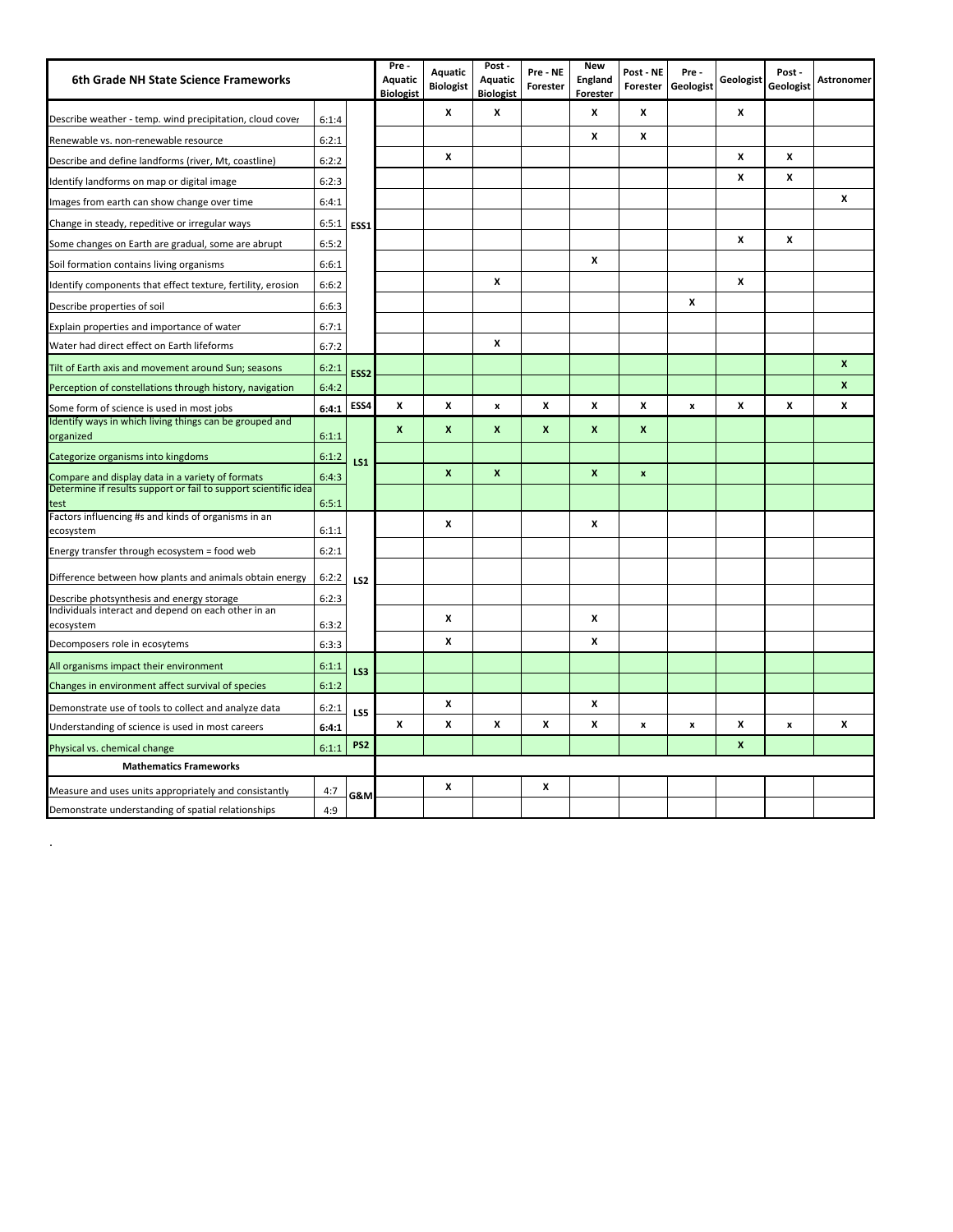| 6th Grade NH State Science Frameworks                                                                               |       |                  | Pre -<br><b>Aquatic</b><br><b>Biologist</b> | Aquatic<br><b>Biologist</b> | Post -<br><b>Aquatic</b><br><b>Biologist</b> | Pre - NE<br>Forester | <b>New</b><br>England<br>Forester | Post - NE<br>Forester | Pre-<br>Geologist  | Geologist    | Post-<br>Geologist | <b>Astronomer</b>  |
|---------------------------------------------------------------------------------------------------------------------|-------|------------------|---------------------------------------------|-----------------------------|----------------------------------------------|----------------------|-----------------------------------|-----------------------|--------------------|--------------|--------------------|--------------------|
| Describe weather - temp. wind precipitation, cloud cover                                                            | 6:1:4 |                  |                                             | X                           | x                                            |                      | x                                 | x                     |                    | X            |                    |                    |
| Renewable vs. non-renewable resource                                                                                | 6:2:1 |                  |                                             |                             |                                              |                      | x                                 | x                     |                    |              |                    |                    |
| Describe and define landforms (river, Mt, coastline)                                                                | 6:2:2 |                  |                                             | X                           |                                              |                      |                                   |                       |                    | x            | x                  |                    |
| Identify landforms on map or digital image                                                                          | 6:2:3 |                  |                                             |                             |                                              |                      |                                   |                       |                    | x            | x                  |                    |
| Images from earth can show change over time                                                                         | 6:4:1 |                  |                                             |                             |                                              |                      |                                   |                       |                    |              |                    | x                  |
| Change in steady, repeditive or irregular ways                                                                      | 6:5:1 | ESS1             |                                             |                             |                                              |                      |                                   |                       |                    |              |                    |                    |
| Some changes on Earth are gradual, some are abrupt                                                                  | 6:5:2 |                  |                                             |                             |                                              |                      |                                   |                       |                    | x            | x                  |                    |
| Soil formation contains living organisms                                                                            | 6:6:1 |                  |                                             |                             |                                              |                      | x                                 |                       |                    |              |                    |                    |
| Identify components that effect texture, fertility, erosion                                                         | 6:6:2 |                  |                                             |                             | x                                            |                      |                                   |                       |                    | X            |                    |                    |
| Describe properties of soil                                                                                         | 6:6:3 |                  |                                             |                             |                                              |                      |                                   |                       | x                  |              |                    |                    |
| Explain properties and importance of water                                                                          | 6:7:1 |                  |                                             |                             |                                              |                      |                                   |                       |                    |              |                    |                    |
| Water had direct effect on Earth lifeforms                                                                          | 6:7:2 |                  |                                             |                             | x                                            |                      |                                   |                       |                    |              |                    |                    |
| Tilt of Earth axis and movement around Sun; seasons                                                                 | 6:2:1 | ESS <sub>2</sub> |                                             |                             |                                              |                      |                                   |                       |                    |              |                    | $\pmb{\mathsf{x}}$ |
| Perception of constellations through history, navigation                                                            | 6:4:2 |                  |                                             |                             |                                              |                      |                                   |                       |                    |              |                    | $\mathbf{x}$       |
| Some form of science is used in most jobs                                                                           | 6:4:1 | ESS4             | x                                           | X                           | x                                            | x                    | x                                 | X                     | $\pmb{\mathsf{x}}$ | x            | X                  | X                  |
| Identify ways in which living things can be grouped and<br>organized                                                | 6:1:1 |                  | X                                           | $\mathbf{x}$                | $\boldsymbol{x}$                             | X                    | $\mathbf{x}$                      | X                     |                    |              |                    |                    |
| Categorize organisms into kingdoms                                                                                  | 6:1:2 | <b>LS1</b>       |                                             |                             |                                              |                      |                                   |                       |                    |              |                    |                    |
| Compare and display data in a variety of formats<br>Determine if results support or fail to support scientific idea | 6:4:3 |                  |                                             | $\boldsymbol{x}$            | $\pmb{\mathsf{x}}$                           |                      | $\pmb{\times}$                    | $\pmb{\mathsf{x}}$    |                    |              |                    |                    |
| test                                                                                                                | 6:5:1 |                  |                                             |                             |                                              |                      |                                   |                       |                    |              |                    |                    |
| Factors influencing #s and kinds of organisms in an                                                                 |       |                  |                                             | X                           |                                              |                      | x                                 |                       |                    |              |                    |                    |
| ecosystem                                                                                                           | 6:1:1 |                  |                                             |                             |                                              |                      |                                   |                       |                    |              |                    |                    |
| Energy transfer through ecosystem = food web                                                                        | 6:2:1 |                  |                                             |                             |                                              |                      |                                   |                       |                    |              |                    |                    |
| Difference between how plants and animals obtain energy                                                             | 6:2:2 | LS <sub>2</sub>  |                                             |                             |                                              |                      |                                   |                       |                    |              |                    |                    |
| Describe photsynthesis and energy storage                                                                           | 6:2:3 |                  |                                             |                             |                                              |                      |                                   |                       |                    |              |                    |                    |
| Individuals interact and depend on each other in an<br>ecosystem                                                    | 6:3:2 |                  |                                             | X                           |                                              |                      | x                                 |                       |                    |              |                    |                    |
| Decomposers role in ecosytems                                                                                       | 6:3:3 |                  |                                             | X                           |                                              |                      | x                                 |                       |                    |              |                    |                    |
| All organisms impact their environment                                                                              | 6:1:1 | <b>LS3</b>       |                                             |                             |                                              |                      |                                   |                       |                    |              |                    |                    |
| Changes in environment affect survival of species                                                                   | 6:1:2 |                  |                                             |                             |                                              |                      |                                   |                       |                    |              |                    |                    |
| Demonstrate use of tools to collect and analyze data                                                                | 6:2:1 | LS5              |                                             | X                           |                                              |                      | x                                 |                       |                    |              |                    |                    |
| Understanding of science is used in most careers                                                                    | 6:4:1 |                  | x                                           | X                           | x                                            | x                    | x                                 | x                     | $\pmb{\mathsf{x}}$ | X            | $\pmb{\mathsf{x}}$ | x                  |
| Physical vs. chemical change                                                                                        | 6:1:1 | PS <sub>2</sub>  |                                             |                             |                                              |                      |                                   |                       |                    | $\mathbf{x}$ |                    |                    |
| <b>Mathematics Frameworks</b>                                                                                       |       |                  |                                             |                             |                                              |                      |                                   |                       |                    |              |                    |                    |
| Measure and uses units appropriately and consistantly                                                               | 4:7   | G&M              |                                             | X                           |                                              | x                    |                                   |                       |                    |              |                    |                    |
| Demonstrate understanding of spatial relationships                                                                  | 4:9   |                  |                                             |                             |                                              |                      |                                   |                       |                    |              |                    |                    |

.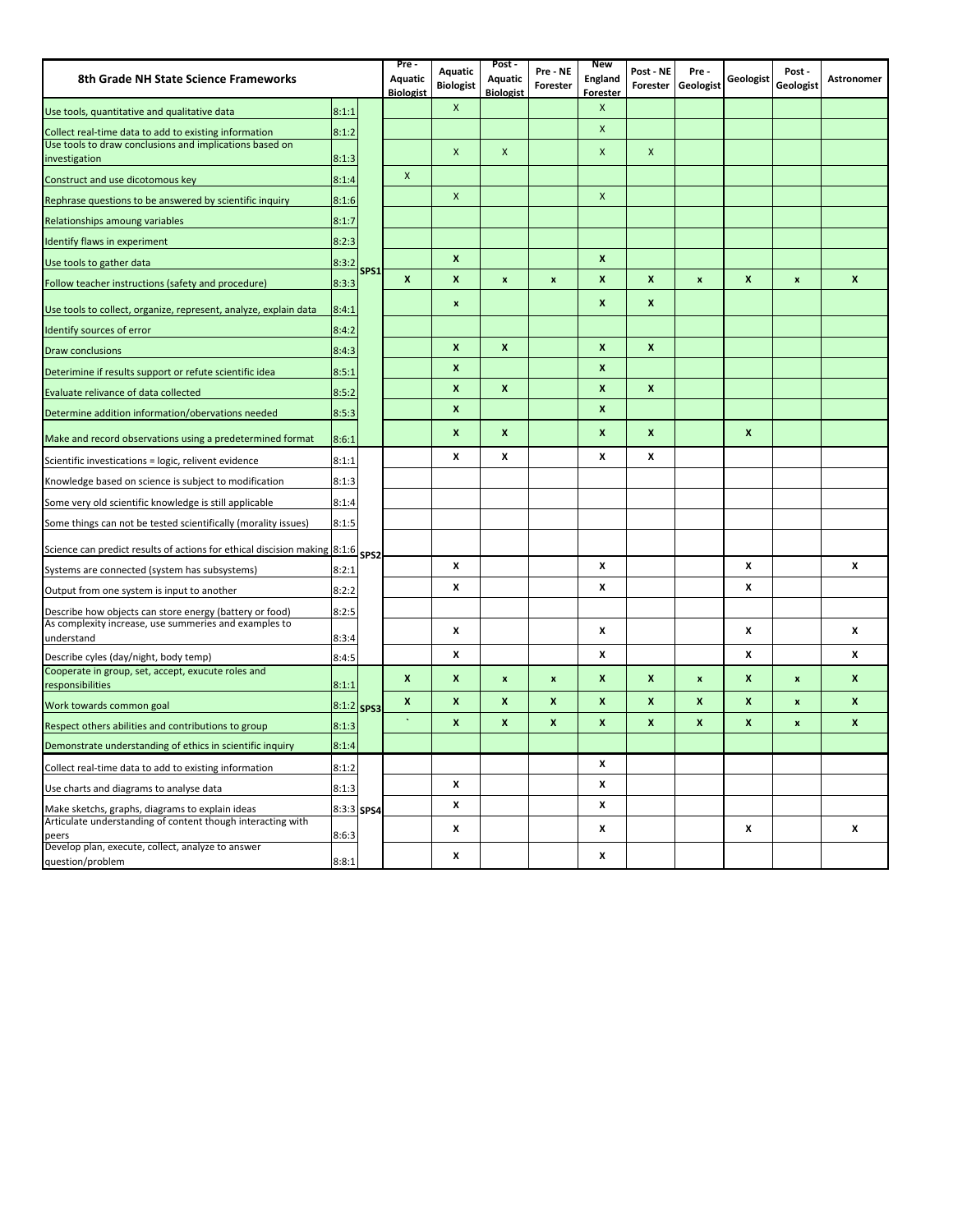| 8th Grade NH State Science Frameworks                                                       |       |                  | $Pre -$<br><b>Aquatic</b><br><b>Biologist</b> | Aquatic<br><b>Biologist</b> | Post -<br>Aquatic<br><b>Biologist</b> | Pre - NE<br>Forester | <b>New</b><br>England<br><b>Forester</b> | Post - NE<br>Forester | Pre-<br>Geologist  | Geologist          | Post-<br>Geologist | Astronomer       |
|---------------------------------------------------------------------------------------------|-------|------------------|-----------------------------------------------|-----------------------------|---------------------------------------|----------------------|------------------------------------------|-----------------------|--------------------|--------------------|--------------------|------------------|
| Use tools, quantitative and qualitative data                                                | 8:1:1 |                  |                                               | $\pmb{\mathsf{X}}$          |                                       |                      | $\pmb{\mathsf{X}}$                       |                       |                    |                    |                    |                  |
| Collect real-time data to add to existing information                                       | 8:1:2 |                  |                                               |                             |                                       |                      | $\pmb{\mathsf{X}}$                       |                       |                    |                    |                    |                  |
| Use tools to draw conclusions and implications based on                                     |       |                  |                                               | $\mathsf{x}$                | $\mathsf{x}$                          |                      | $\mathsf{x}$                             | X                     |                    |                    |                    |                  |
| investigation                                                                               | 8:1:3 |                  | X                                             |                             |                                       |                      |                                          |                       |                    |                    |                    |                  |
| Construct and use dicotomous key                                                            | 8:1:4 |                  |                                               | X                           |                                       |                      | $\pmb{\times}$                           |                       |                    |                    |                    |                  |
| Rephrase questions to be answered by scientific inquiry                                     | 8:1:6 |                  |                                               |                             |                                       |                      |                                          |                       |                    |                    |                    |                  |
| Relationships amoung variables                                                              | 8:1:7 |                  |                                               |                             |                                       |                      |                                          |                       |                    |                    |                    |                  |
| Identify flaws in experiment                                                                | 8:2:3 |                  |                                               |                             |                                       |                      |                                          |                       |                    |                    |                    |                  |
| Use tools to gather data                                                                    | 8:3:2 | SPS1             |                                               | X                           |                                       |                      | $\pmb{\mathsf{x}}$                       |                       |                    |                    |                    |                  |
| Follow teacher instructions (safety and procedure)                                          | 8:3:3 |                  | X                                             | $\pmb{\mathsf{x}}$          | $\pmb{\mathsf{x}}$                    | $\boldsymbol{x}$     | $\pmb{\mathsf{x}}$                       | X                     | $\pmb{\times}$     | $\mathbf{x}$       | $\pmb{\mathsf{x}}$ | $\boldsymbol{x}$ |
| Use tools to collect, organize, represent, analyze, explain data                            | 8:4:1 |                  |                                               | $\pmb{\mathsf{x}}$          |                                       |                      | $\boldsymbol{\mathsf{x}}$                | x                     |                    |                    |                    |                  |
| Identify sources of error                                                                   | 8:4:2 |                  |                                               |                             |                                       |                      |                                          |                       |                    |                    |                    |                  |
| <b>Draw conclusions</b>                                                                     | 8:4:3 |                  |                                               | X                           | $\mathbf{x}$                          |                      | $\boldsymbol{x}$                         | $\mathbf{x}$          |                    |                    |                    |                  |
| Deterimine if results support or refute scientific idea                                     | 8:5:1 |                  |                                               | $\pmb{\times}$              |                                       |                      | $\boldsymbol{\mathsf{x}}$                |                       |                    |                    |                    |                  |
| Evaluate relivance of data collected                                                        | 8:5:2 |                  |                                               | $\pmb{\mathsf{x}}$          | X                                     |                      | $\boldsymbol{\mathsf{x}}$                | $\mathbf{x}$          |                    |                    |                    |                  |
| Determine addition information/obervations needed                                           | 8:5:3 |                  |                                               | X                           |                                       |                      | $\pmb{\mathsf{x}}$                       |                       |                    |                    |                    |                  |
| Make and record observations using a predetermined format                                   | 8:6:1 |                  |                                               | X                           | X                                     |                      | $\pmb{\mathsf{x}}$                       | X                     |                    | $\boldsymbol{x}$   |                    |                  |
| Scientific investications = logic, relivent evidence                                        | 8:1:1 |                  |                                               | x                           | x                                     |                      | X                                        | x                     |                    |                    |                    |                  |
| Knowledge based on science is subject to modification                                       | 8:1:3 |                  |                                               |                             |                                       |                      |                                          |                       |                    |                    |                    |                  |
| Some very old scientific knowledge is still applicable                                      | 8:1:4 |                  |                                               |                             |                                       |                      |                                          |                       |                    |                    |                    |                  |
| Some things can not be tested scientifically (morality issues)                              | 8:1:5 |                  |                                               |                             |                                       |                      |                                          |                       |                    |                    |                    |                  |
| Science can predict results of actions for ethical discision making 8:1:6                   |       | SPS <sub>2</sub> |                                               |                             |                                       |                      |                                          |                       |                    |                    |                    |                  |
| Systems are connected (system has subsystems)                                               | 8:2:1 |                  |                                               | x                           |                                       |                      | X                                        |                       |                    | x                  |                    | x                |
| Output from one system is input to another                                                  | 8:2:2 |                  |                                               | X                           |                                       |                      | X                                        |                       |                    | X                  |                    |                  |
| Describe how objects can store energy (battery or food)                                     | 8:2:5 |                  |                                               |                             |                                       |                      |                                          |                       |                    |                    |                    |                  |
| As complexity increase, use summeries and examples to                                       |       |                  |                                               | x                           |                                       |                      | X                                        |                       |                    | X                  |                    | x                |
| understand                                                                                  | 8:3:4 |                  |                                               | X                           |                                       |                      |                                          |                       |                    | X                  |                    | $\boldsymbol{x}$ |
| Describe cyles (day/night, body temp)<br>Cooperate in group, set, accept, exucute roles and | 8:4:5 |                  |                                               |                             |                                       |                      | X                                        |                       |                    |                    |                    |                  |
| responsibilities                                                                            | 8:1:1 |                  | $\mathbf{x}$                                  | X                           | $\pmb{\mathsf{x}}$                    | $\boldsymbol{x}$     | $\boldsymbol{\mathsf{x}}$                | $\boldsymbol{x}$      | $\pmb{\mathsf{x}}$ | $\boldsymbol{x}$   | $\pmb{\mathsf{x}}$ | $\mathbf{x}$     |
| Work towards common goal                                                                    | 8:1:2 | SPS3             | x                                             | $\pmb{\times}$              | X                                     | X                    | $\pmb{\mathsf{x}}$                       | x                     | x                  | X                  | $\pmb{\mathsf{x}}$ | X                |
| Respect others abilities and contributions to group                                         | 8:1:3 |                  |                                               | X                           | $\pmb{\mathsf{x}}$                    | $\boldsymbol{x}$     | $\boldsymbol{x}$                         | $\pmb{\times}$        | X                  | $\pmb{\mathsf{x}}$ | $\pmb{\mathsf{x}}$ | $\mathbf{x}$     |
| Demonstrate understanding of ethics in scientific inquiry                                   | 8:1:4 |                  |                                               |                             |                                       |                      |                                          |                       |                    |                    |                    |                  |
| Collect real-time data to add to existing information                                       | 8:1:2 |                  |                                               |                             |                                       |                      | X                                        |                       |                    |                    |                    |                  |
| Use charts and diagrams to analyse data                                                     | 8:1:3 |                  |                                               | X                           |                                       |                      | X                                        |                       |                    |                    |                    |                  |
| Make sketchs, graphs, diagrams to explain ideas                                             | 8:3:3 | SPS4             |                                               | X                           |                                       |                      | X                                        |                       |                    |                    |                    |                  |
| Articulate understanding of content though interacting with<br>peers                        | 8:6:3 |                  |                                               | x                           |                                       |                      | x                                        |                       |                    | x                  |                    | x                |
| Develop plan, execute, collect, analyze to answer                                           |       |                  |                                               | x                           |                                       |                      | X                                        |                       |                    |                    |                    |                  |
| question/problem                                                                            | 8:8:1 |                  |                                               |                             |                                       |                      |                                          |                       |                    |                    |                    |                  |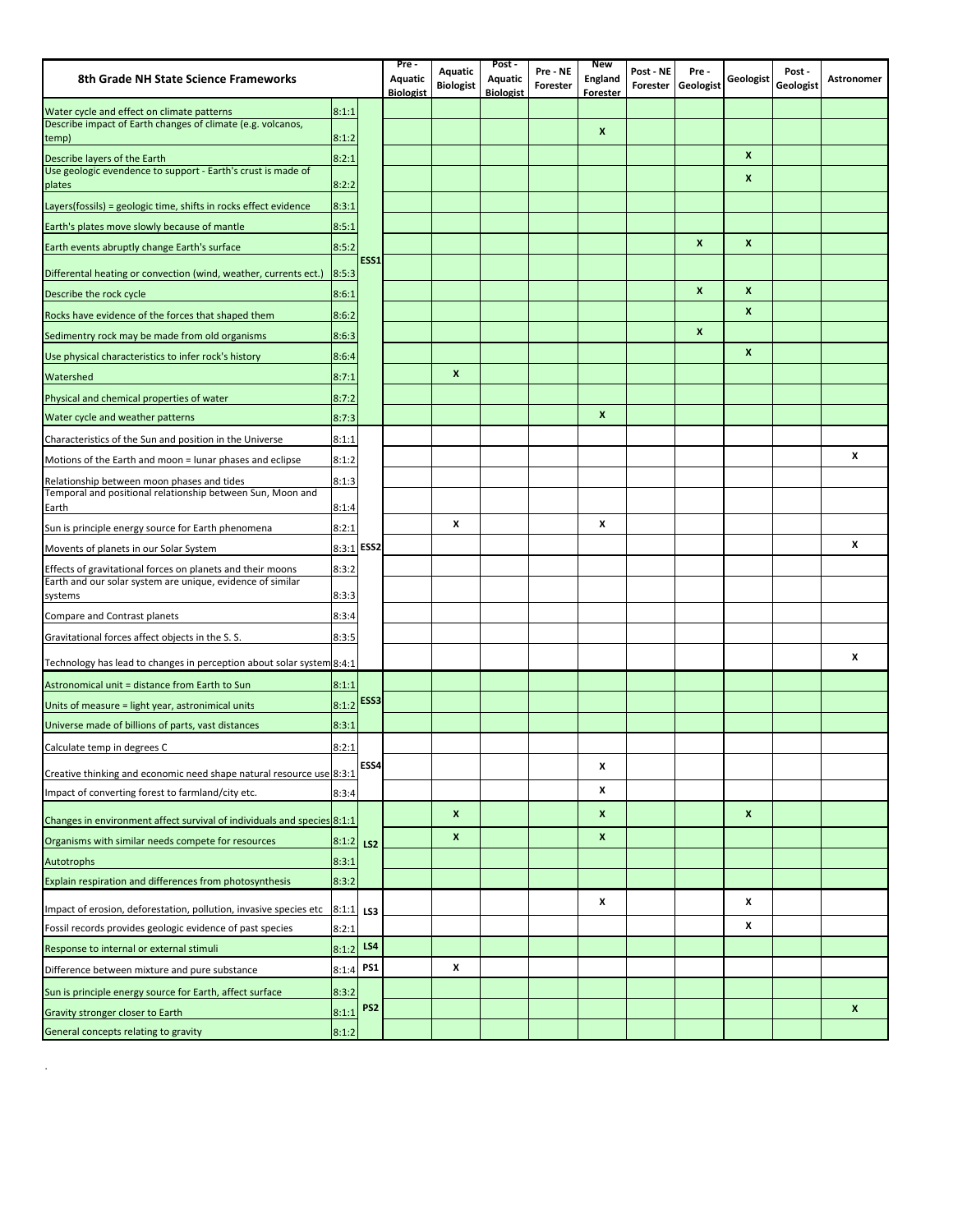| 8th Grade NH State Science Frameworks                                                                     |            |                 | Pre-<br>Aquatic  | Aquatic          | Post -<br>Aquatic | Pre - NE | <b>New</b><br>England | Post - NE | Pre-             | Geologist        | Post -    | <b>Astronomer</b> |
|-----------------------------------------------------------------------------------------------------------|------------|-----------------|------------------|------------------|-------------------|----------|-----------------------|-----------|------------------|------------------|-----------|-------------------|
|                                                                                                           |            |                 | <b>Biologist</b> | <b>Biologist</b> | <b>Biologist</b>  | Forester | <b>Forester</b>       | Forester  | Geologist        |                  | Geologist |                   |
| Water cycle and effect on climate patterns<br>Describe impact of Earth changes of climate (e.g. volcanos, | 8:1:1      |                 |                  |                  |                   |          |                       |           |                  |                  |           |                   |
| temp)                                                                                                     | 8:1:2      |                 |                  |                  |                   |          | X                     |           |                  |                  |           |                   |
| Describe layers of the Earth                                                                              | 8:2:1      |                 |                  |                  |                   |          |                       |           |                  | $\boldsymbol{x}$ |           |                   |
| Use geologic evendence to support - Earth's crust is made of<br>plates                                    | 8:2:2      |                 |                  |                  |                   |          |                       |           |                  | X                |           |                   |
| Layers(fossils) = geologic time, shifts in rocks effect evidence                                          | 8:3:1      |                 |                  |                  |                   |          |                       |           |                  |                  |           |                   |
| Earth's plates move slowly because of mantle                                                              | 8:5:1      |                 |                  |                  |                   |          |                       |           |                  |                  |           |                   |
| Earth events abruptly change Earth's surface                                                              | 8:5:2      |                 |                  |                  |                   |          |                       |           | X                | $\boldsymbol{x}$ |           |                   |
| Differental heating or convection (wind, weather, currents ect.)                                          | 8:5:3      | ESS1            |                  |                  |                   |          |                       |           |                  |                  |           |                   |
| Describe the rock cycle                                                                                   | 8:6:1      |                 |                  |                  |                   |          |                       |           | $\boldsymbol{x}$ | $\boldsymbol{x}$ |           |                   |
| Rocks have evidence of the forces that shaped them                                                        | 8:6:2      |                 |                  |                  |                   |          |                       |           |                  | $\boldsymbol{x}$ |           |                   |
| Sedimentry rock may be made from old organisms                                                            | 8:6:3      |                 |                  |                  |                   |          |                       |           | X                |                  |           |                   |
| Use physical characteristics to infer rock's history                                                      | 8:6:4      |                 |                  |                  |                   |          |                       |           |                  | $\boldsymbol{x}$ |           |                   |
| Watershed                                                                                                 | 8:7:1      |                 |                  | $\boldsymbol{x}$ |                   |          |                       |           |                  |                  |           |                   |
| Physical and chemical properties of water                                                                 | 8:7:2      |                 |                  |                  |                   |          |                       |           |                  |                  |           |                   |
| Water cycle and weather patterns                                                                          | 8:7:3      |                 |                  |                  |                   |          | X                     |           |                  |                  |           |                   |
| Characteristics of the Sun and position in the Universe                                                   | 8:1:1      |                 |                  |                  |                   |          |                       |           |                  |                  |           |                   |
| Motions of the Earth and moon = lunar phases and eclipse                                                  | 8:1:2      |                 |                  |                  |                   |          |                       |           |                  |                  |           | x                 |
| Relationship between moon phases and tides                                                                | 8:1:3      |                 |                  |                  |                   |          |                       |           |                  |                  |           |                   |
| Temporal and positional relationship between Sun, Moon and<br>Earth                                       | 8:1:4      |                 |                  |                  |                   |          |                       |           |                  |                  |           |                   |
| Sun is principle energy source for Earth phenomena                                                        | 8:2:1      |                 |                  | X                |                   |          | x                     |           |                  |                  |           |                   |
| Movents of planets in our Solar System                                                                    | 8:3:1 ESS2 |                 |                  |                  |                   |          |                       |           |                  |                  |           | x                 |
| Effects of gravitational forces on planets and their moons                                                | 8:3:2      |                 |                  |                  |                   |          |                       |           |                  |                  |           |                   |
| Earth and our solar system are unique, evidence of similar                                                |            |                 |                  |                  |                   |          |                       |           |                  |                  |           |                   |
| systems                                                                                                   | 8:3:3      |                 |                  |                  |                   |          |                       |           |                  |                  |           |                   |
| Compare and Contrast planets                                                                              | 8:3:4      |                 |                  |                  |                   |          |                       |           |                  |                  |           |                   |
| Gravitational forces affect objects in the S.S.                                                           | 8:3:5      |                 |                  |                  |                   |          |                       |           |                  |                  |           |                   |
| Technology has lead to changes in perception about solar system 8:4:1                                     |            |                 |                  |                  |                   |          |                       |           |                  |                  |           | x                 |
| Astronomical unit = distance from Earth to Sun                                                            | 8:1:1      |                 |                  |                  |                   |          |                       |           |                  |                  |           |                   |
| Units of measure = light year, astronimical units                                                         | 8:1:2      | ESS3            |                  |                  |                   |          |                       |           |                  |                  |           |                   |
| Universe made of billions of parts, vast distances                                                        | 8:3:1      |                 |                  |                  |                   |          |                       |           |                  |                  |           |                   |
| Calculate temp in degrees C                                                                               | 8:2:1      |                 |                  |                  |                   |          |                       |           |                  |                  |           |                   |
| Creative thinking and economic need shape natural resource use 8:3:1                                      |            | ESS4            |                  |                  |                   |          | x                     |           |                  |                  |           |                   |
| Impact of converting forest to farmland/city etc.                                                         | 8:3:4      |                 |                  |                  |                   |          | x                     |           |                  |                  |           |                   |
| Changes in environment affect survival of individuals and species 8:1:1                                   |            |                 |                  | $\boldsymbol{x}$ |                   |          | X                     |           |                  | $\boldsymbol{x}$ |           |                   |
| Organisms with similar needs compete for resources                                                        | 8:1:2      | LS <sub>2</sub> |                  | X                |                   |          | X                     |           |                  |                  |           |                   |
| <b>Autotrophs</b>                                                                                         | 8:3:1      |                 |                  |                  |                   |          |                       |           |                  |                  |           |                   |
| Explain respiration and differences from photosynthesis                                                   | 8:3:2      |                 |                  |                  |                   |          |                       |           |                  |                  |           |                   |
| Impact of erosion, deforestation, pollution, invasive species etc                                         | 8:1:1      | LS3             |                  |                  |                   |          | x                     |           |                  | X                |           |                   |
| Fossil records provides geologic evidence of past species                                                 | 8:2:1      |                 |                  |                  |                   |          |                       |           |                  | X                |           |                   |
| Response to internal or external stimuli                                                                  | 8:1:2      | LS4             |                  |                  |                   |          |                       |           |                  |                  |           |                   |
| Difference between mixture and pure substance                                                             | 8:1:4      | PS <sub>1</sub> |                  | X                |                   |          |                       |           |                  |                  |           |                   |
| Sun is principle energy source for Earth, affect surface                                                  | 8:3:2      |                 |                  |                  |                   |          |                       |           |                  |                  |           |                   |
| Gravity stronger closer to Earth                                                                          | 8:1:1      | PS <sub>2</sub> |                  |                  |                   |          |                       |           |                  |                  |           | X                 |
| General concepts relating to gravity                                                                      | 8:1:2      |                 |                  |                  |                   |          |                       |           |                  |                  |           |                   |

 $\mathcal{L}(\mathcal{A})$  . The  $\mathcal{L}(\mathcal{A})$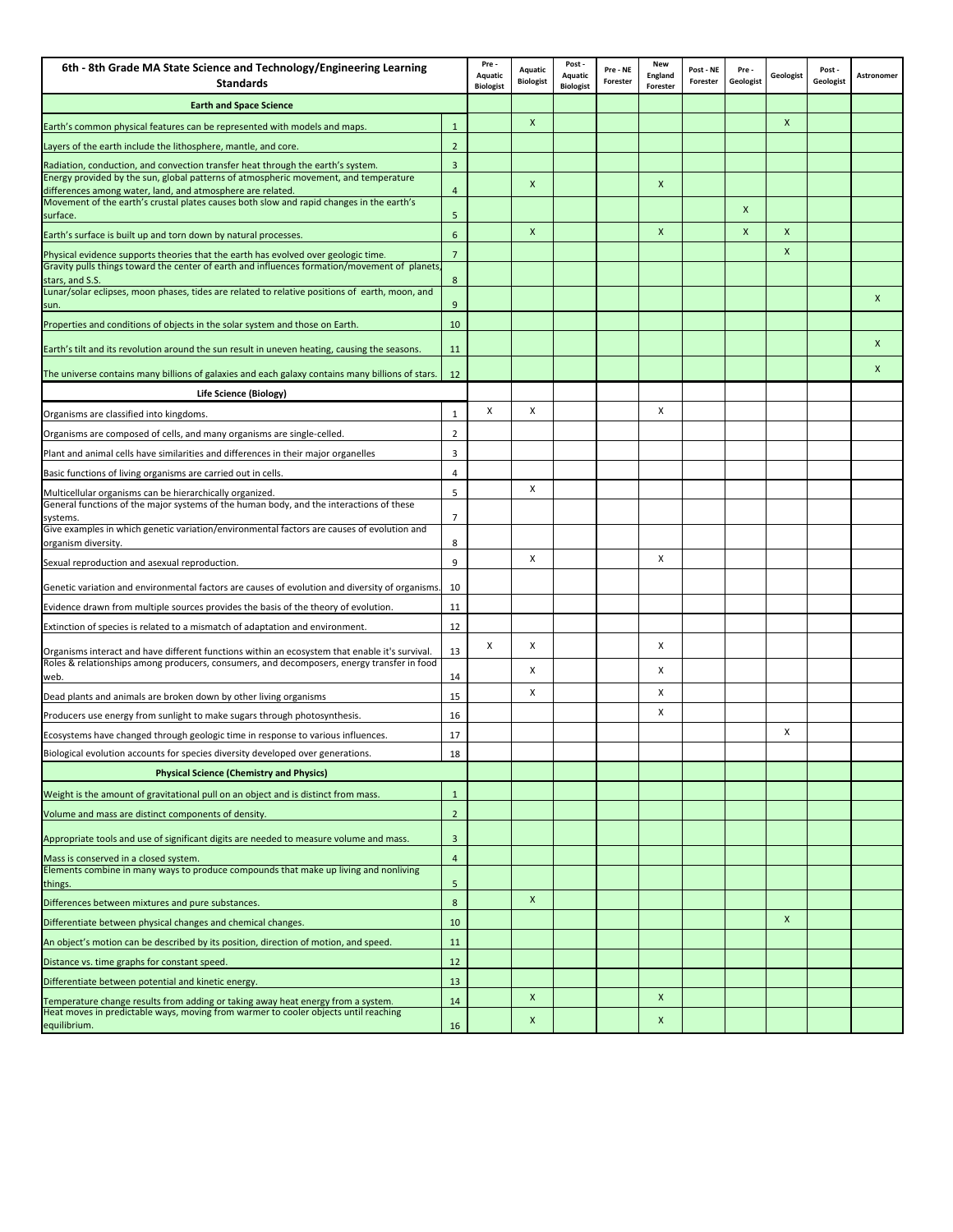| 6th - 8th Grade MA State Science and Technology/Engineering Learning<br><b>Standards</b>                                                                                                          | Pre-<br>Aquatic<br><b>Biologist</b> | Aquatic<br><b>Biologist</b> | Post -<br>Aquatic<br><b>Biologist</b> | Pre - NE<br>Forester | <b>New</b><br>England<br>Forester | Post - NE<br>Forester | Pre -<br>Geologist | Geologist | Post<br>Geologist | Astronomer |   |
|---------------------------------------------------------------------------------------------------------------------------------------------------------------------------------------------------|-------------------------------------|-----------------------------|---------------------------------------|----------------------|-----------------------------------|-----------------------|--------------------|-----------|-------------------|------------|---|
| <b>Earth and Space Science</b>                                                                                                                                                                    |                                     |                             |                                       |                      |                                   |                       |                    |           |                   |            |   |
| Earth's common physical features can be represented with models and maps.                                                                                                                         | $\mathbf{1}$                        |                             | $\mathsf{x}$                          |                      |                                   |                       |                    |           | $\mathsf{x}$      |            |   |
| Layers of the earth include the lithosphere, mantle, and core.                                                                                                                                    | $\overline{2}$                      |                             |                                       |                      |                                   |                       |                    |           |                   |            |   |
| Radiation, conduction, and convection transfer heat through the earth's system.                                                                                                                   | 3                                   |                             |                                       |                      |                                   |                       |                    |           |                   |            |   |
| Energy provided by the sun, global patterns of atmospheric movement, and temperature<br>differences among water, land, and atmosphere are related.                                                | $\overline{4}$                      |                             | X                                     |                      |                                   | X                     |                    |           |                   |            |   |
| Movement of the earth's crustal plates causes both slow and rapid changes in the earth's<br>surface.                                                                                              | 5                                   |                             |                                       |                      |                                   |                       |                    | X         |                   |            |   |
| Earth's surface is built up and torn down by natural processes.                                                                                                                                   | 6                                   |                             | X                                     |                      |                                   | $\mathsf{x}$          |                    | X         | $\mathsf{x}$      |            |   |
| Physical evidence supports theories that the earth has evolved over geologic time.<br>Gravity pulls things toward the center of earth and influences formation/movement of planets                | $\overline{7}$                      |                             |                                       |                      |                                   |                       |                    |           | $\mathsf{x}$      |            |   |
| stars, and S.S.<br>Lunar/solar eclipses, moon phases, tides are related to relative positions of earth, moon, and<br>sun.                                                                         | 8<br>9                              |                             |                                       |                      |                                   |                       |                    |           |                   |            | X |
| Properties and conditions of objects in the solar system and those on Earth.                                                                                                                      | 10                                  |                             |                                       |                      |                                   |                       |                    |           |                   |            |   |
|                                                                                                                                                                                                   |                                     |                             |                                       |                      |                                   |                       |                    |           |                   |            | X |
| Earth's tilt and its revolution around the sun result in uneven heating, causing the seasons.<br>The universe contains many billions of galaxies and each galaxy contains many billions of stars. | 11<br>12                            |                             |                                       |                      |                                   |                       |                    |           |                   |            | X |
| Life Science (Biology)                                                                                                                                                                            |                                     |                             |                                       |                      |                                   |                       |                    |           |                   |            |   |
|                                                                                                                                                                                                   | 1                                   | X                           | X                                     |                      |                                   | X                     |                    |           |                   |            |   |
| Organisms are classified into kingdoms.                                                                                                                                                           |                                     |                             |                                       |                      |                                   |                       |                    |           |                   |            |   |
| Organisms are composed of cells, and many organisms are single-celled.                                                                                                                            | $\overline{2}$                      |                             |                                       |                      |                                   |                       |                    |           |                   |            |   |
| Plant and animal cells have similarities and differences in their major organelles                                                                                                                | $\overline{\mathbf{3}}$             |                             |                                       |                      |                                   |                       |                    |           |                   |            |   |
| Basic functions of living organisms are carried out in cells.                                                                                                                                     | 4                                   |                             | X                                     |                      |                                   |                       |                    |           |                   |            |   |
| Multicellular organisms can be hierarchically organized.<br>General functions of the major systems of the human body, and the interactions of these<br>systems.                                   | 5<br>$\overline{7}$                 |                             |                                       |                      |                                   |                       |                    |           |                   |            |   |
| Give examples in which genetic variation/environmental factors are causes of evolution and                                                                                                        | 8                                   |                             |                                       |                      |                                   |                       |                    |           |                   |            |   |
| organism diversity.                                                                                                                                                                               | $\overline{9}$                      |                             | X                                     |                      |                                   | х                     |                    |           |                   |            |   |
| Sexual reproduction and asexual reproduction.                                                                                                                                                     |                                     |                             |                                       |                      |                                   |                       |                    |           |                   |            |   |
| Genetic variation and environmental factors are causes of evolution and diversity of organisms.                                                                                                   | 10                                  |                             |                                       |                      |                                   |                       |                    |           |                   |            |   |
| Evidence drawn from multiple sources provides the basis of the theory of evolution.                                                                                                               | 11                                  |                             |                                       |                      |                                   |                       |                    |           |                   |            |   |
| Extinction of species is related to a mismatch of adaptation and environment.                                                                                                                     | 12                                  |                             |                                       |                      |                                   |                       |                    |           |                   |            |   |
| Organisms interact and have different functions within an ecosystem that enable it's survival.                                                                                                    | 13                                  | x                           | х                                     |                      |                                   | X                     |                    |           |                   |            |   |
| Roles & relationships among producers, consumers, and decomposers, energy transfer in food<br>web.                                                                                                | 14                                  |                             | х                                     |                      |                                   | х                     |                    |           |                   |            |   |
| Dead plants and animals are broken down by other living organisms                                                                                                                                 | 15                                  |                             | х                                     |                      |                                   | х                     |                    |           |                   |            |   |
| Producers use energy from sunlight to make sugars through photosynthesis.                                                                                                                         | 16                                  |                             |                                       |                      |                                   | X                     |                    |           |                   |            |   |
| Ecosystems have changed through geologic time in response to various influences.                                                                                                                  | 17                                  |                             |                                       |                      |                                   |                       |                    |           | х                 |            |   |
| Biological evolution accounts for species diversity developed over generations.                                                                                                                   | 18                                  |                             |                                       |                      |                                   |                       |                    |           |                   |            |   |
| <b>Physical Science (Chemistry and Physics)</b>                                                                                                                                                   |                                     |                             |                                       |                      |                                   |                       |                    |           |                   |            |   |
| Weight is the amount of gravitational pull on an object and is distinct from mass.                                                                                                                | $\mathbf{1}$                        |                             |                                       |                      |                                   |                       |                    |           |                   |            |   |
| Volume and mass are distinct components of density.                                                                                                                                               | $\overline{2}$                      |                             |                                       |                      |                                   |                       |                    |           |                   |            |   |
| Appropriate tools and use of significant digits are needed to measure volume and mass.                                                                                                            | $\overline{3}$                      |                             |                                       |                      |                                   |                       |                    |           |                   |            |   |
| Mass is conserved in a closed system.                                                                                                                                                             | $\overline{4}$                      |                             |                                       |                      |                                   |                       |                    |           |                   |            |   |
| Elements combine in many ways to produce compounds that make up living and nonliving                                                                                                              | 5                                   |                             |                                       |                      |                                   |                       |                    |           |                   |            |   |
| things.<br>Differences between mixtures and pure substances.                                                                                                                                      | 8                                   |                             | $\boldsymbol{\mathsf{x}}$             |                      |                                   |                       |                    |           |                   |            |   |
| Differentiate between physical changes and chemical changes.                                                                                                                                      | 10                                  |                             |                                       |                      |                                   |                       |                    |           | $\mathsf{x}$      |            |   |
| An object's motion can be described by its position, direction of motion, and speed.                                                                                                              | 11                                  |                             |                                       |                      |                                   |                       |                    |           |                   |            |   |
| Distance vs. time graphs for constant speed.                                                                                                                                                      | 12                                  |                             |                                       |                      |                                   |                       |                    |           |                   |            |   |
| Differentiate between potential and kinetic energy.                                                                                                                                               | 13                                  |                             |                                       |                      |                                   |                       |                    |           |                   |            |   |
| Temperature change results from adding or taking away heat energy from a system.                                                                                                                  | 14                                  |                             | $\boldsymbol{\mathsf{x}}$             |                      |                                   | X                     |                    |           |                   |            |   |
| Heat moves in predictable ways, moving from warmer to cooler objects until reaching<br>equilibrium.                                                                                               | 16                                  |                             | X                                     |                      |                                   | X                     |                    |           |                   |            |   |